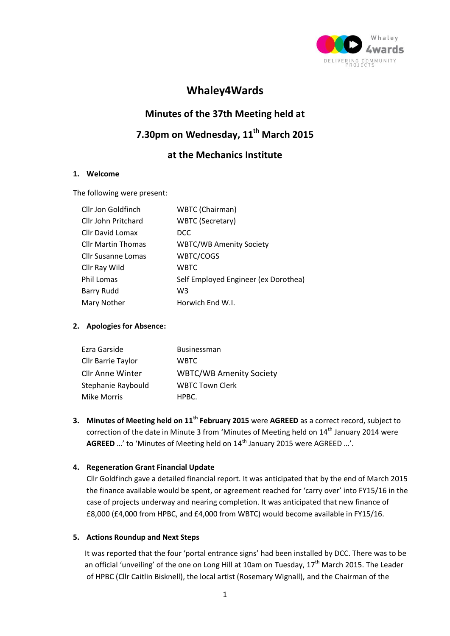

### **Whaley4Wards**

# **Minutes of the 37th Meeting held at**

## **7.30pm on Wednesday, 11th March 2015**

### **at the Mechanics Institute**

#### **1. Welcome**

The following were present:

| WBTC (Chairman)                      |
|--------------------------------------|
| <b>WBTC (Secretary)</b>              |
| DCC                                  |
| <b>WBTC/WB Amenity Society</b>       |
| WBTC/COGS                            |
| WBTC                                 |
| Self Employed Engineer (ex Dorothea) |
| W <sub>3</sub>                       |
| Horwich End W.I.                     |
|                                      |

#### **2. Apologies for Absence:**

| Ezra Garside            | <b>Businessman</b>             |
|-------------------------|--------------------------------|
| Cllr Barrie Taylor      | <b>WBTC</b>                    |
| <b>Cllr Anne Winter</b> | <b>WBTC/WB Amenity Society</b> |
| Stephanie Raybould      | <b>WBTC Town Clerk</b>         |
| <b>Mike Morris</b>      | HPBC.                          |

**3. Minutes of Meeting held on 11th February 2015** were **AGREED** as a correct record, subject to correction of the date in Minute 3 from 'Minutes of Meeting held on 14<sup>th</sup> January 2014 were AGREED ...' to 'Minutes of Meeting held on 14<sup>th</sup> January 2015 were AGREED ...'.

#### **4. Regeneration Grant Financial Update**

Cllr Goldfinch gave a detailed financial report. It was anticipated that by the end of March 2015 the finance available would be spent, or agreement reached for 'carry over' into FY15/16 in the case of projects underway and nearing completion. It was anticipated that new finance of £8,000 (£4,000 from HPBC, and £4,000 from WBTC) would become available in FY15/16.

#### **5. Actions Roundup and Next Steps**

 It was reported that the four 'portal entrance signs' had been installed by DCC. There was to be an official 'unveiling' of the one on Long Hill at 10am on Tuesday, 17<sup>th</sup> March 2015. The Leader of HPBC (Cllr Caitlin Bisknell), the local artist (Rosemary Wignall), and the Chairman of the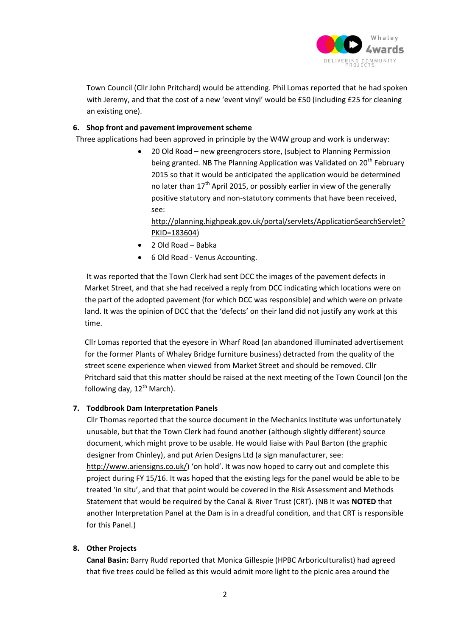

 Town Council (Cllr John Pritchard) would be attending. Phil Lomas reported that he had spoken with Jeremy, and that the cost of a new 'event vinyl' would be £50 (including £25 for cleaning an existing one).

#### **6. Shop front and pavement improvement scheme**

Three applications had been approved in principle by the W4W group and work is underway:

 20 Old Road – new greengrocers store, (subject to Planning Permission being granted. NB The Planning Application was Validated on 20<sup>th</sup> February 2015 so that it would be anticipated the application would be determined no later than  $17<sup>th</sup>$  April 2015, or possibly earlier in view of the generally positive statutory and non-statutory comments that have been received, see:

[http://planning.highpeak.gov.uk/portal/servlets/ApplicationSearchServlet?](http://planning.highpeak.gov.uk/portal/servlets/ApplicationSearchServlet?PKID=183604) [PKID=183604\)](http://planning.highpeak.gov.uk/portal/servlets/ApplicationSearchServlet?PKID=183604)

- 2 Old Road Babka
- 6 Old Road Venus Accounting.

It was reported that the Town Clerk had sent DCC the images of the pavement defects in Market Street, and that she had received a reply from DCC indicating which locations were on the part of the adopted pavement (for which DCC was responsible) and which were on private land. It was the opinion of DCC that the 'defects' on their land did not justify any work at this time.

 Cllr Lomas reported that the eyesore in Wharf Road (an abandoned illuminated advertisement for the former Plants of Whaley Bridge furniture business) detracted from the quality of the street scene experience when viewed from Market Street and should be removed. Cllr Pritchard said that this matter should be raised at the next meeting of the Town Council (on the following day,  $12^{th}$  March).

#### **7. Toddbrook Dam Interpretation Panels**

Cllr Thomas reported that the source document in the Mechanics Institute was unfortunately unusable, but that the Town Clerk had found another (although slightly different) source document, which might prove to be usable. He would liaise with Paul Barton (the graphic designer from Chinley), and put Arien Designs Ltd (a sign manufacturer, see: <http://www.ariensigns.co.uk/>) 'on hold'. It was now hoped to carry out and complete this project during FY 15/16. It was hoped that the existing legs for the panel would be able to be treated 'in situ', and that that point would be covered in the Risk Assessment and Methods Statement that would be required by the Canal & River Trust (CRT). (NB It was **NOTED** that another Interpretation Panel at the Dam is in a dreadful condition, and that CRT is responsible for this Panel.)

#### **8. Other Projects**

**Canal Basin:** Barry Rudd reported that Monica Gillespie (HPBC Arboriculturalist) had agreed that five trees could be felled as this would admit more light to the picnic area around the